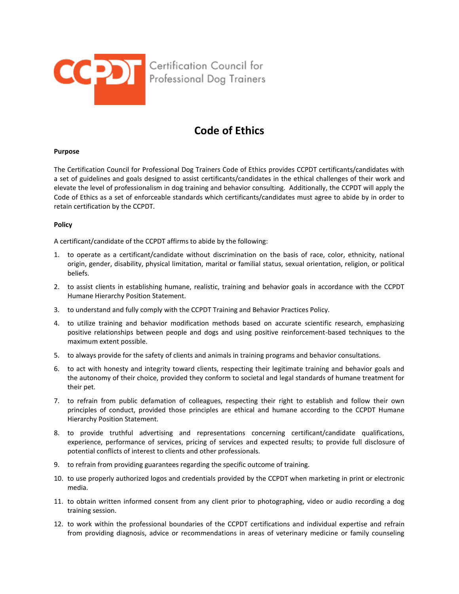

## **Code of Ethics**

## **Purpose**

The Certification Council for Professional Dog Trainers Code of Ethics provides CCPDT certificants/candidates with a set of guidelines and goals designed to assist certificants/candidates in the ethical challenges of their work and elevate the level of professionalism in dog training and behavior consulting. Additionally, the CCPDT will apply the Code of Ethics as a set of enforceable standards which certificants/candidates must agree to abide by in order to retain certification by the CCPDT.

## **Policy**

A certificant/candidate of the CCPDT affirms to abide by the following:

- 1. to operate as a certificant/candidate without discrimination on the basis of race, color, ethnicity, national origin, gender, disability, physical limitation, marital or familial status, sexual orientation, religion, or political beliefs.
- 2. to assist clients in establishing humane, realistic, training and behavior goals in accordance with the CCPDT Humane Hierarchy Position Statement.
- 3. to understand and fully comply with the CCPDT Training and Behavior Practices Policy.
- 4. to utilize training and behavior modification methods based on accurate scientific research, emphasizing positive relationships between people and dogs and using positive reinforcement-based techniques to the maximum extent possible.
- 5. to always provide for the safety of clients and animals in training programs and behavior consultations.
- 6. to act with honesty and integrity toward clients, respecting their legitimate training and behavior goals and the autonomy of their choice, provided they conform to societal and legal standards of humane treatment for their pet.
- 7. to refrain from public defamation of colleagues, respecting their right to establish and follow their own principles of conduct, provided those principles are ethical and humane according to the CCPDT Humane Hierarchy Position Statement.
- 8. to provide truthful advertising and representations concerning certificant/candidate qualifications, experience, performance of services, pricing of services and expected results; to provide full disclosure of potential conflicts of interest to clients and other professionals.
- 9. to refrain from providing guarantees regarding the specific outcome of training.
- 10. to use properly authorized logos and credentials provided by the CCPDT when marketing in print or electronic media.
- 11. to obtain written informed consent from any client prior to photographing, video or audio recording a dog training session.
- 12. to work within the professional boundaries of the CCPDT certifications and individual expertise and refrain from providing diagnosis, advice or recommendations in areas of veterinary medicine or family counseling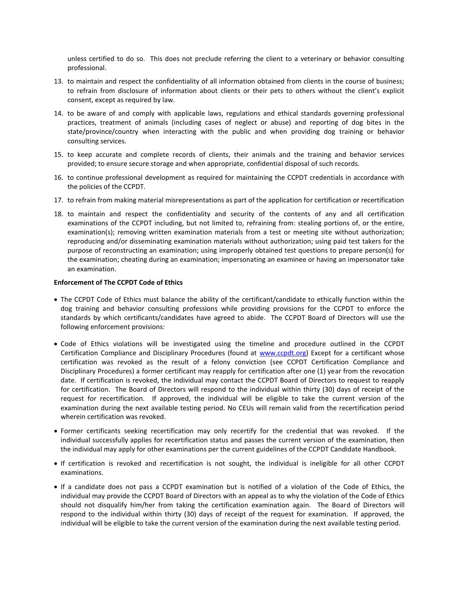unless certified to do so. This does not preclude referring the client to a veterinary or behavior consulting professional.

- 13. to maintain and respect the confidentiality of all information obtained from clients in the course of business; to refrain from disclosure of information about clients or their pets to others without the client's explicit consent, except as required by law.
- 14. to be aware of and comply with applicable laws, regulations and ethical standards governing professional practices, treatment of animals (including cases of neglect or abuse) and reporting of dog bites in the state/province/country when interacting with the public and when providing dog training or behavior consulting services.
- 15. to keep accurate and complete records of clients, their animals and the training and behavior services provided; to ensure secure storage and when appropriate, confidential disposal of such records.
- 16. to continue professional development as required for maintaining the CCPDT credentials in accordance with the policies of the CCPDT.
- 17. to refrain from making material misrepresentations as part of the application for certification or recertification
- 18. to maintain and respect the confidentiality and security of the contents of any and all certification examinations of the CCPDT including, but not limited to, refraining from: stealing portions of, or the entire, examination(s); removing written examination materials from a test or meeting site without authorization; reproducing and/or disseminating examination materials without authorization; using paid test takers for the purpose of reconstructing an examination; using improperly obtained test questions to prepare person(s) for the examination; cheating during an examination; impersonating an examinee or having an impersonator take an examination.

## **Enforcement of The CCPDT Code of Ethics**

- The CCPDT Code of Ethics must balance the ability of the certificant/candidate to ethically function within the dog training and behavior consulting professions while providing provisions for the CCPDT to enforce the standards by which certificants/candidates have agreed to abide. The CCPDT Board of Directors will use the following enforcement provisions:
- Code of Ethics violations will be investigated using the timeline and procedure outlined in the CCPDT Certification Compliance and Disciplinary Procedures (found at [www.ccpdt.org\)](http://www.ccpdt.org/) Except for a certificant whose certification was revoked as the result of a felony conviction (see CCPDT Certification Compliance and Disciplinary Procedures) a former certificant may reapply for certification after one (1) year from the revocation date. If certification is revoked, the individual may contact the CCPDT Board of Directors to request to reapply for certification. The Board of Directors will respond to the individual within thirty (30) days of receipt of the request for recertification. If approved, the individual will be eligible to take the current version of the examination during the next available testing period. No CEUs will remain valid from the recertification period wherein certification was revoked.
- Former certificants seeking recertification may only recertify for the credential that was revoked. If the individual successfully applies for recertification status and passes the current version of the examination, then the individual may apply for other examinations per the current guidelines of the CCPDT Candidate Handbook.
- If certification is revoked and recertification is not sought, the individual is ineligible for all other CCPDT examinations.
- If a candidate does not pass a CCPDT examination but is notified of a violation of the Code of Ethics, the individual may provide the CCPDT Board of Directors with an appeal as to why the violation of the Code of Ethics should not disqualify him/her from taking the certification examination again. The Board of Directors will respond to the individual within thirty (30) days of receipt of the request for examination. If approved, the individual will be eligible to take the current version of the examination during the next available testing period.